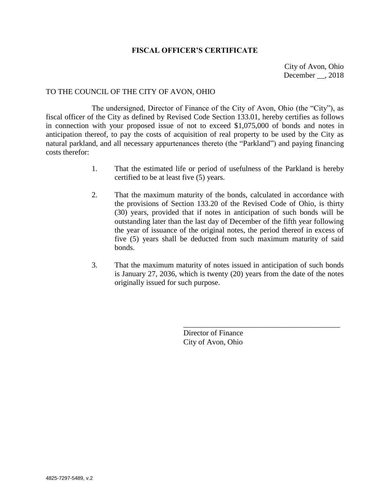## **FISCAL OFFICER'S CERTIFICATE**

City of Avon, Ohio December , 2018

#### TO THE COUNCIL OF THE CITY OF AVON, OHIO

The undersigned, Director of Finance of the City of Avon, Ohio (the "City"), as fiscal officer of the City as defined by Revised Code Section 133.01, hereby certifies as follows in connection with your proposed issue of not to exceed \$1,075,000 of bonds and notes in anticipation thereof, to pay the costs of acquisition of real property to be used by the City as natural parkland, and all necessary appurtenances thereto (the "Parkland") and paying financing costs therefor:

- 1. That the estimated life or period of usefulness of the Parkland is hereby certified to be at least five (5) years.
- 2. That the maximum maturity of the bonds, calculated in accordance with the provisions of Section 133.20 of the Revised Code of Ohio, is thirty (30) years, provided that if notes in anticipation of such bonds will be outstanding later than the last day of December of the fifth year following the year of issuance of the original notes, the period thereof in excess of five (5) years shall be deducted from such maximum maturity of said bonds.
- 3. That the maximum maturity of notes issued in anticipation of such bonds is January 27, 2036, which is twenty (20) years from the date of the notes originally issued for such purpose.

Director of Finance City of Avon, Ohio

\_\_\_\_\_\_\_\_\_\_\_\_\_\_\_\_\_\_\_\_\_\_\_\_\_\_\_\_\_\_\_\_\_\_\_\_\_\_\_\_\_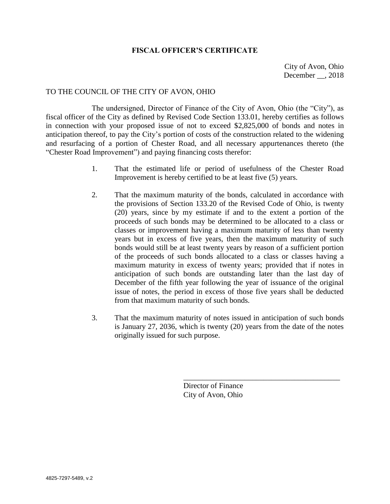### **FISCAL OFFICER'S CERTIFICATE**

City of Avon, Ohio December , 2018

# TO THE COUNCIL OF THE CITY OF AVON, OHIO

The undersigned, Director of Finance of the City of Avon, Ohio (the "City"), as fiscal officer of the City as defined by Revised Code Section 133.01, hereby certifies as follows in connection with your proposed issue of not to exceed \$2,825,000 of bonds and notes in anticipation thereof, to pay the City's portion of costs of the construction related to the widening and resurfacing of a portion of Chester Road, and all necessary appurtenances thereto (the "Chester Road Improvement") and paying financing costs therefor:

- 1. That the estimated life or period of usefulness of the Chester Road Improvement is hereby certified to be at least five (5) years.
- 2. That the maximum maturity of the bonds, calculated in accordance with the provisions of Section 133.20 of the Revised Code of Ohio, is twenty (20) years, since by my estimate if and to the extent a portion of the proceeds of such bonds may be determined to be allocated to a class or classes or improvement having a maximum maturity of less than twenty years but in excess of five years, then the maximum maturity of such bonds would still be at least twenty years by reason of a sufficient portion of the proceeds of such bonds allocated to a class or classes having a maximum maturity in excess of twenty years; provided that if notes in anticipation of such bonds are outstanding later than the last day of December of the fifth year following the year of issuance of the original issue of notes, the period in excess of those five years shall be deducted from that maximum maturity of such bonds.
- 3. That the maximum maturity of notes issued in anticipation of such bonds is January 27, 2036, which is twenty (20) years from the date of the notes originally issued for such purpose.

Director of Finance City of Avon, Ohio

\_\_\_\_\_\_\_\_\_\_\_\_\_\_\_\_\_\_\_\_\_\_\_\_\_\_\_\_\_\_\_\_\_\_\_\_\_\_\_\_\_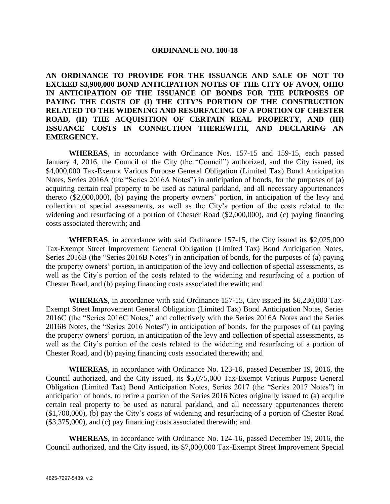#### **ORDINANCE NO. 100-18**

**AN ORDINANCE TO PROVIDE FOR THE ISSUANCE AND SALE OF NOT TO EXCEED \$3,900,000 BOND ANTICIPATION NOTES OF THE CITY OF AVON, OHIO IN ANTICIPATION OF THE ISSUANCE OF BONDS FOR THE PURPOSES OF PAYING THE COSTS OF (I) THE CITY'S PORTION OF THE CONSTRUCTION RELATED TO THE WIDENING AND RESURFACING OF A PORTION OF CHESTER ROAD, (II) THE ACQUISITION OF CERTAIN REAL PROPERTY, AND (III) ISSUANCE COSTS IN CONNECTION THEREWITH, AND DECLARING AN EMERGENCY.**

**WHEREAS**, in accordance with Ordinance Nos. 157-15 and 159-15, each passed January 4, 2016, the Council of the City (the "Council") authorized, and the City issued, its \$4,000,000 Tax-Exempt Various Purpose General Obligation (Limited Tax) Bond Anticipation Notes, Series 2016A (the "Series 2016A Notes") in anticipation of bonds, for the purposes of (a) acquiring certain real property to be used as natural parkland, and all necessary appurtenances thereto (\$2,000,000), (b) paying the property owners' portion, in anticipation of the levy and collection of special assessments, as well as the City's portion of the costs related to the widening and resurfacing of a portion of Chester Road (\$2,000,000), and (c) paying financing costs associated therewith; and

**WHEREAS**, in accordance with said Ordinance 157-15, the City issued its \$2,025,000 Tax-Exempt Street Improvement General Obligation (Limited Tax) Bond Anticipation Notes, Series 2016B (the "Series 2016B Notes") in anticipation of bonds, for the purposes of (a) paying the property owners' portion, in anticipation of the levy and collection of special assessments, as well as the City's portion of the costs related to the widening and resurfacing of a portion of Chester Road, and (b) paying financing costs associated therewith; and

**WHEREAS**, in accordance with said Ordinance 157-15, City issued its \$6,230,000 Tax-Exempt Street Improvement General Obligation (Limited Tax) Bond Anticipation Notes, Series 2016C (the "Series 2016C Notes," and collectively with the Series 2016A Notes and the Series 2016B Notes, the "Series 2016 Notes") in anticipation of bonds, for the purposes of (a) paying the property owners' portion, in anticipation of the levy and collection of special assessments, as well as the City's portion of the costs related to the widening and resurfacing of a portion of Chester Road, and (b) paying financing costs associated therewith; and

**WHEREAS**, in accordance with Ordinance No. 123-16, passed December 19, 2016, the Council authorized, and the City issued, its \$5,075,000 Tax-Exempt Various Purpose General Obligation (Limited Tax) Bond Anticipation Notes, Series 2017 (the "Series 2017 Notes") in anticipation of bonds, to retire a portion of the Series 2016 Notes originally issued to (a) acquire certain real property to be used as natural parkland, and all necessary appurtenances thereto (\$1,700,000), (b) pay the City's costs of widening and resurfacing of a portion of Chester Road (\$3,375,000), and (c) pay financing costs associated therewith; and

**WHEREAS**, in accordance with Ordinance No. 124-16, passed December 19, 2016, the Council authorized, and the City issued, its \$7,000,000 Tax-Exempt Street Improvement Special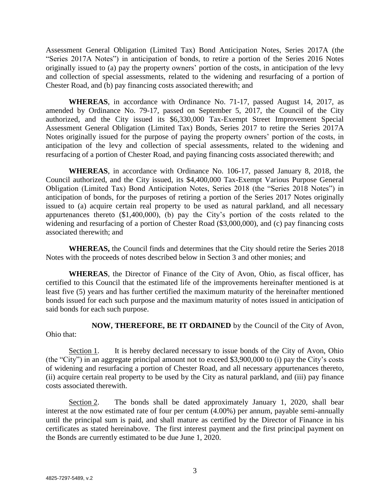Assessment General Obligation (Limited Tax) Bond Anticipation Notes, Series 2017A (the "Series 2017A Notes") in anticipation of bonds, to retire a portion of the Series 2016 Notes originally issued to (a) pay the property owners' portion of the costs, in anticipation of the levy and collection of special assessments, related to the widening and resurfacing of a portion of Chester Road, and (b) pay financing costs associated therewith; and

**WHEREAS**, in accordance with Ordinance No. 71-17, passed August 14, 2017, as amended by Ordinance No. 79-17, passed on September 5, 2017, the Council of the City authorized, and the City issued its \$6,330,000 Tax-Exempt Street Improvement Special Assessment General Obligation (Limited Tax) Bonds, Series 2017 to retire the Series 2017A Notes originally issued for the purpose of paying the property owners' portion of the costs, in anticipation of the levy and collection of special assessments, related to the widening and resurfacing of a portion of Chester Road, and paying financing costs associated therewith; and

**WHEREAS**, in accordance with Ordinance No. 106-17, passed January 8, 2018, the Council authorized, and the City issued, its \$4,400,000 Tax-Exempt Various Purpose General Obligation (Limited Tax) Bond Anticipation Notes, Series 2018 (the "Series 2018 Notes") in anticipation of bonds, for the purposes of retiring a portion of the Series 2017 Notes originally issued to (a) acquire certain real property to be used as natural parkland, and all necessary appurtenances thereto (\$1,400,000), (b) pay the City's portion of the costs related to the widening and resurfacing of a portion of Chester Road (\$3,000,000), and (c) pay financing costs associated therewith; and

**WHEREAS,** the Council finds and determines that the City should retire the Series 2018 Notes with the proceeds of notes described below in Section 3 and other monies; and

**WHEREAS**, the Director of Finance of the City of Avon, Ohio, as fiscal officer, has certified to this Council that the estimated life of the improvements hereinafter mentioned is at least five (5) years and has further certified the maximum maturity of the hereinafter mentioned bonds issued for each such purpose and the maximum maturity of notes issued in anticipation of said bonds for each such purpose.

**NOW, THEREFORE, BE IT ORDAINED** by the Council of the City of Avon, Ohio that:

Section 1. It is hereby declared necessary to issue bonds of the City of Avon, Ohio (the "City") in an aggregate principal amount not to exceed \$3,900,000 to (i) pay the City's costs of widening and resurfacing a portion of Chester Road, and all necessary appurtenances thereto, (ii) acquire certain real property to be used by the City as natural parkland, and (iii) pay finance costs associated therewith.

Section 2. The bonds shall be dated approximately January 1, 2020, shall bear interest at the now estimated rate of four per centum (4.00%) per annum, payable semi-annually until the principal sum is paid, and shall mature as certified by the Director of Finance in his certificates as stated hereinabove. The first interest payment and the first principal payment on the Bonds are currently estimated to be due June 1, 2020.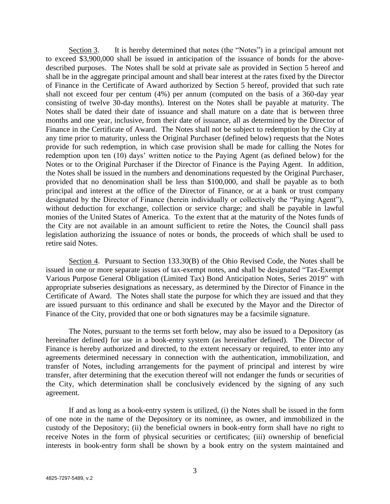Section 3. It is hereby determined that notes (the "Notes") in a principal amount not to exceed \$3,900,000 shall be issued in anticipation of the issuance of bonds for the abovedescribed purposes. The Notes shall be sold at private sale as provided in Section 5 hereof and shall be in the aggregate principal amount and shall bear interest at the rates fixed by the Director of Finance in the Certificate of Award authorized by Section 5 hereof, provided that such rate shall not exceed four per centum (4%) per annum (computed on the basis of a 360-day year consisting of twelve 30-day months). Interest on the Notes shall be payable at maturity. The Notes shall be dated their date of issuance and shall mature on a date that is between three months and one year, inclusive, from their date of issuance, all as determined by the Director of Finance in the Certificate of Award. The Notes shall not be subject to redemption by the City at any time prior to maturity, unless the Original Purchaser (defined below) requests that the Notes provide for such redemption, in which case provision shall be made for calling the Notes for redemption upon ten (10) days' written notice to the Paying Agent (as defined below) for the Notes or to the Original Purchaser if the Director of Finance is the Paying Agent. In addition, the Notes shall be issued in the numbers and denominations requested by the Original Purchaser, provided that no denomination shall be less than \$100,000, and shall be payable as to both principal and interest at the office of the Director of Finance, or at a bank or trust company designated by the Director of Finance (herein individually or collectively the "Paying Agent"), without deduction for exchange, collection or service charge; and shall be payable in lawful monies of the United States of America. To the extent that at the maturity of the Notes funds of the City are not available in an amount sufficient to retire the Notes, the Council shall pass legislation authorizing the issuance of notes or bonds, the proceeds of which shall be used to retire said Notes.

Section 4. Pursuant to Section 133.30(B) of the Ohio Revised Code, the Notes shall be issued in one or more separate issues of tax-exempt notes, and shall be designated "Tax-Exempt Various Purpose General Obligation (Limited Tax) Bond Anticipation Notes, Series 2019" with appropriate subseries designations as necessary, as determined by the Director of Finance in the Certificate of Award. The Notes shall state the purpose for which they are issued and that they are issued pursuant to this ordinance and shall be executed by the Mayor and the Director of Finance of the City, provided that one or both signatures may be a facsimile signature.

The Notes, pursuant to the terms set forth below, may also be issued to a Depository (as hereinafter defined) for use in a book-entry system (as hereinafter defined). The Director of Finance is hereby authorized and directed, to the extent necessary or required, to enter into any agreements determined necessary in connection with the authentication, immobilization, and transfer of Notes, including arrangements for the payment of principal and interest by wire transfer, after determining that the execution thereof will not endanger the funds or securities of the City, which determination shall be conclusively evidenced by the signing of any such agreement.

If and as long as a book-entry system is utilized, (i) the Notes shall be issued in the form of one note in the name of the Depository or its nominee, as owner, and immobilized in the custody of the Depository; (ii) the beneficial owners in book-entry form shall have no right to receive Notes in the form of physical securities or certificates; (iii) ownership of beneficial interests in book-entry form shall be shown by a book entry on the system maintained and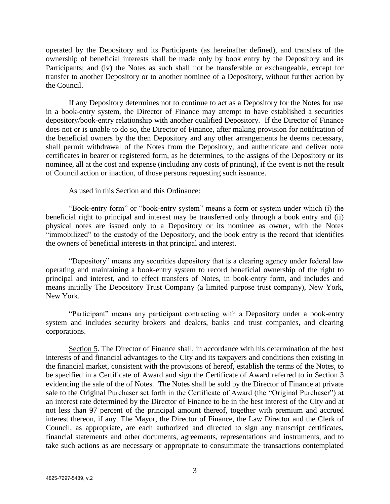operated by the Depository and its Participants (as hereinafter defined), and transfers of the ownership of beneficial interests shall be made only by book entry by the Depository and its Participants; and (iv) the Notes as such shall not be transferable or exchangeable, except for transfer to another Depository or to another nominee of a Depository, without further action by the Council.

If any Depository determines not to continue to act as a Depository for the Notes for use in a book-entry system, the Director of Finance may attempt to have established a securities depository/book-entry relationship with another qualified Depository. If the Director of Finance does not or is unable to do so, the Director of Finance, after making provision for notification of the beneficial owners by the then Depository and any other arrangements he deems necessary, shall permit withdrawal of the Notes from the Depository, and authenticate and deliver note certificates in bearer or registered form, as he determines, to the assigns of the Depository or its nominee, all at the cost and expense (including any costs of printing), if the event is not the result of Council action or inaction, of those persons requesting such issuance.

As used in this Section and this Ordinance:

"Book-entry form" or "book-entry system" means a form or system under which (i) the beneficial right to principal and interest may be transferred only through a book entry and (ii) physical notes are issued only to a Depository or its nominee as owner, with the Notes "immobilized" to the custody of the Depository, and the book entry is the record that identifies the owners of beneficial interests in that principal and interest.

"Depository" means any securities depository that is a clearing agency under federal law operating and maintaining a book-entry system to record beneficial ownership of the right to principal and interest, and to effect transfers of Notes, in book-entry form, and includes and means initially The Depository Trust Company (a limited purpose trust company), New York, New York.

"Participant" means any participant contracting with a Depository under a book-entry system and includes security brokers and dealers, banks and trust companies, and clearing corporations.

Section 5. The Director of Finance shall, in accordance with his determination of the best interests of and financial advantages to the City and its taxpayers and conditions then existing in the financial market, consistent with the provisions of hereof, establish the terms of the Notes, to be specified in a Certificate of Award and sign the Certificate of Award referred to in Section 3 evidencing the sale of the of Notes. The Notes shall be sold by the Director of Finance at private sale to the Original Purchaser set forth in the Certificate of Award (the "Original Purchaser") at an interest rate determined by the Director of Finance to be in the best interest of the City and at not less than 97 percent of the principal amount thereof, together with premium and accrued interest thereon, if any. The Mayor, the Director of Finance, the Law Director and the Clerk of Council, as appropriate, are each authorized and directed to sign any transcript certificates, financial statements and other documents, agreements, representations and instruments, and to take such actions as are necessary or appropriate to consummate the transactions contemplated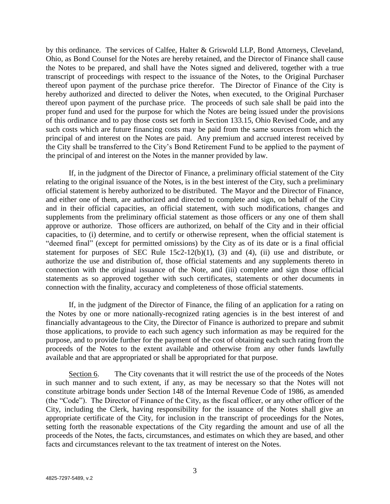by this ordinance. The services of Calfee, Halter & Griswold LLP, Bond Attorneys, Cleveland, Ohio, as Bond Counsel for the Notes are hereby retained, and the Director of Finance shall cause the Notes to be prepared, and shall have the Notes signed and delivered, together with a true transcript of proceedings with respect to the issuance of the Notes, to the Original Purchaser thereof upon payment of the purchase price therefor. The Director of Finance of the City is hereby authorized and directed to deliver the Notes, when executed, to the Original Purchaser thereof upon payment of the purchase price. The proceeds of such sale shall be paid into the proper fund and used for the purpose for which the Notes are being issued under the provisions of this ordinance and to pay those costs set forth in Section 133.15, Ohio Revised Code, and any such costs which are future financing costs may be paid from the same sources from which the principal of and interest on the Notes are paid. Any premium and accrued interest received by the City shall be transferred to the City's Bond Retirement Fund to be applied to the payment of the principal of and interest on the Notes in the manner provided by law.

If, in the judgment of the Director of Finance, a preliminary official statement of the City relating to the original issuance of the Notes, is in the best interest of the City, such a preliminary official statement is hereby authorized to be distributed. The Mayor and the Director of Finance, and either one of them, are authorized and directed to complete and sign, on behalf of the City and in their official capacities, an official statement, with such modifications, changes and supplements from the preliminary official statement as those officers or any one of them shall approve or authorize. Those officers are authorized, on behalf of the City and in their official capacities, to (i) determine, and to certify or otherwise represent, when the official statement is "deemed final" (except for permitted omissions) by the City as of its date or is a final official statement for purposes of SEC Rule  $15c2-12(b)(1)$ , (3) and (4), (ii) use and distribute, or authorize the use and distribution of, those official statements and any supplements thereto in connection with the original issuance of the Note, and (iii) complete and sign those official statements as so approved together with such certificates, statements or other documents in connection with the finality, accuracy and completeness of those official statements.

If, in the judgment of the Director of Finance, the filing of an application for a rating on the Notes by one or more nationally-recognized rating agencies is in the best interest of and financially advantageous to the City, the Director of Finance is authorized to prepare and submit those applications, to provide to each such agency such information as may be required for the purpose, and to provide further for the payment of the cost of obtaining each such rating from the proceeds of the Notes to the extent available and otherwise from any other funds lawfully available and that are appropriated or shall be appropriated for that purpose.

Section 6. The City covenants that it will restrict the use of the proceeds of the Notes in such manner and to such extent, if any, as may be necessary so that the Notes will not constitute arbitrage bonds under Section 148 of the Internal Revenue Code of 1986, as amended (the "Code"). The Director of Finance of the City, as the fiscal officer, or any other officer of the City, including the Clerk, having responsibility for the issuance of the Notes shall give an appropriate certificate of the City, for inclusion in the transcript of proceedings for the Notes, setting forth the reasonable expectations of the City regarding the amount and use of all the proceeds of the Notes, the facts, circumstances, and estimates on which they are based, and other facts and circumstances relevant to the tax treatment of interest on the Notes.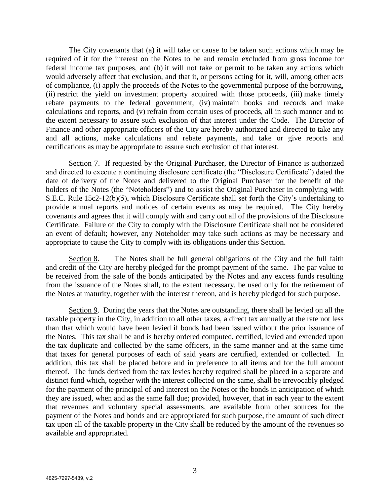The City covenants that (a) it will take or cause to be taken such actions which may be required of it for the interest on the Notes to be and remain excluded from gross income for federal income tax purposes, and (b) it will not take or permit to be taken any actions which would adversely affect that exclusion, and that it, or persons acting for it, will, among other acts of compliance, (i) apply the proceeds of the Notes to the governmental purpose of the borrowing, (ii) restrict the yield on investment property acquired with those proceeds, (iii) make timely rebate payments to the federal government, (iv) maintain books and records and make calculations and reports, and (v) refrain from certain uses of proceeds, all in such manner and to the extent necessary to assure such exclusion of that interest under the Code. The Director of Finance and other appropriate officers of the City are hereby authorized and directed to take any and all actions, make calculations and rebate payments, and take or give reports and certifications as may be appropriate to assure such exclusion of that interest.

Section 7. If requested by the Original Purchaser, the Director of Finance is authorized and directed to execute a continuing disclosure certificate (the "Disclosure Certificate") dated the date of delivery of the Notes and delivered to the Original Purchaser for the benefit of the holders of the Notes (the "Noteholders") and to assist the Original Purchaser in complying with S.E.C. Rule 15c2-12(b)(5), which Disclosure Certificate shall set forth the City's undertaking to provide annual reports and notices of certain events as may be required. The City hereby covenants and agrees that it will comply with and carry out all of the provisions of the Disclosure Certificate. Failure of the City to comply with the Disclosure Certificate shall not be considered an event of default; however, any Noteholder may take such actions as may be necessary and appropriate to cause the City to comply with its obligations under this Section.

Section 8. The Notes shall be full general obligations of the City and the full faith and credit of the City are hereby pledged for the prompt payment of the same. The par value to be received from the sale of the bonds anticipated by the Notes and any excess funds resulting from the issuance of the Notes shall, to the extent necessary, be used only for the retirement of the Notes at maturity, together with the interest thereon, and is hereby pledged for such purpose.

Section 9. During the years that the Notes are outstanding, there shall be levied on all the taxable property in the City, in addition to all other taxes, a direct tax annually at the rate not less than that which would have been levied if bonds had been issued without the prior issuance of the Notes. This tax shall be and is hereby ordered computed, certified, levied and extended upon the tax duplicate and collected by the same officers, in the same manner and at the same time that taxes for general purposes of each of said years are certified, extended or collected. In addition, this tax shall be placed before and in preference to all items and for the full amount thereof. The funds derived from the tax levies hereby required shall be placed in a separate and distinct fund which, together with the interest collected on the same, shall be irrevocably pledged for the payment of the principal of and interest on the Notes or the bonds in anticipation of which they are issued, when and as the same fall due; provided, however, that in each year to the extent that revenues and voluntary special assessments, are available from other sources for the payment of the Notes and bonds and are appropriated for such purpose, the amount of such direct tax upon all of the taxable property in the City shall be reduced by the amount of the revenues so available and appropriated.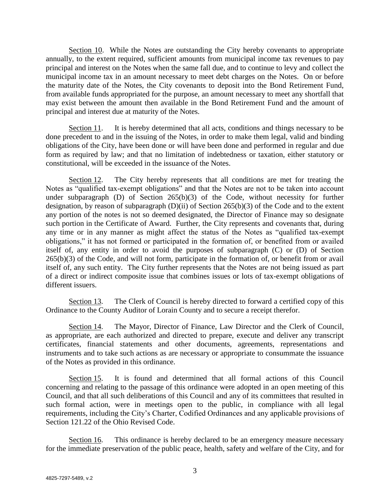Section 10. While the Notes are outstanding the City hereby covenants to appropriate annually, to the extent required, sufficient amounts from municipal income tax revenues to pay principal and interest on the Notes when the same fall due, and to continue to levy and collect the municipal income tax in an amount necessary to meet debt charges on the Notes. On or before the maturity date of the Notes, the City covenants to deposit into the Bond Retirement Fund, from available funds appropriated for the purpose, an amount necessary to meet any shortfall that may exist between the amount then available in the Bond Retirement Fund and the amount of principal and interest due at maturity of the Notes.

Section 11. It is hereby determined that all acts, conditions and things necessary to be done precedent to and in the issuing of the Notes, in order to make them legal, valid and binding obligations of the City, have been done or will have been done and performed in regular and due form as required by law; and that no limitation of indebtedness or taxation, either statutory or constitutional, will be exceeded in the issuance of the Notes.

Section 12. The City hereby represents that all conditions are met for treating the Notes as "qualified tax-exempt obligations" and that the Notes are not to be taken into account under subparagraph (D) of Section 265(b)(3) of the Code, without necessity for further designation, by reason of subparagraph (D)(ii) of Section 265(b)(3) of the Code and to the extent any portion of the notes is not so deemed designated, the Director of Finance may so designate such portion in the Certificate of Award. Further, the City represents and covenants that, during any time or in any manner as might affect the status of the Notes as "qualified tax-exempt obligations," it has not formed or participated in the formation of, or benefited from or availed itself of, any entity in order to avoid the purposes of subparagraph (C) or (D) of Section 265(b)(3) of the Code, and will not form, participate in the formation of, or benefit from or avail itself of, any such entity. The City further represents that the Notes are not being issued as part of a direct or indirect composite issue that combines issues or lots of tax-exempt obligations of different issuers.

Section 13. The Clerk of Council is hereby directed to forward a certified copy of this Ordinance to the County Auditor of Lorain County and to secure a receipt therefor.

Section 14. The Mayor, Director of Finance, Law Director and the Clerk of Council, as appropriate, are each authorized and directed to prepare, execute and deliver any transcript certificates, financial statements and other documents, agreements, representations and instruments and to take such actions as are necessary or appropriate to consummate the issuance of the Notes as provided in this ordinance.

Section 15. It is found and determined that all formal actions of this Council concerning and relating to the passage of this ordinance were adopted in an open meeting of this Council, and that all such deliberations of this Council and any of its committees that resulted in such formal action, were in meetings open to the public, in compliance with all legal requirements, including the City's Charter, Codified Ordinances and any applicable provisions of Section 121.22 of the Ohio Revised Code.

Section 16. This ordinance is hereby declared to be an emergency measure necessary for the immediate preservation of the public peace, health, safety and welfare of the City, and for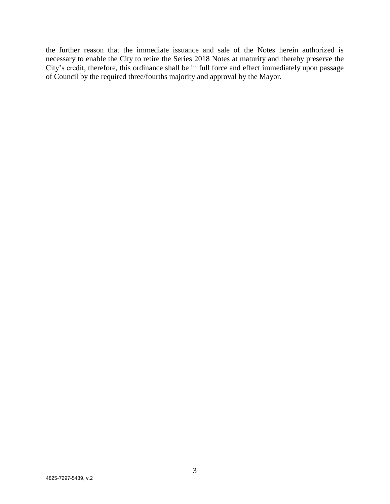the further reason that the immediate issuance and sale of the Notes herein authorized is necessary to enable the City to retire the Series 2018 Notes at maturity and thereby preserve the City's credit, therefore, this ordinance shall be in full force and effect immediately upon passage of Council by the required three/fourths majority and approval by the Mayor.